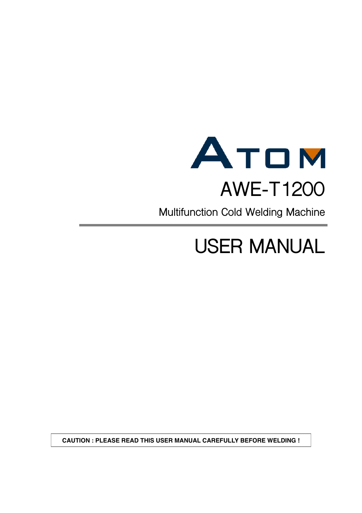

**Multifunction Cold Welding Machine**

# **USER MANUAL**

**CAUTION : PLEASE READ THIS USER MANUAL CAREFULLY BEFORE WELDING !**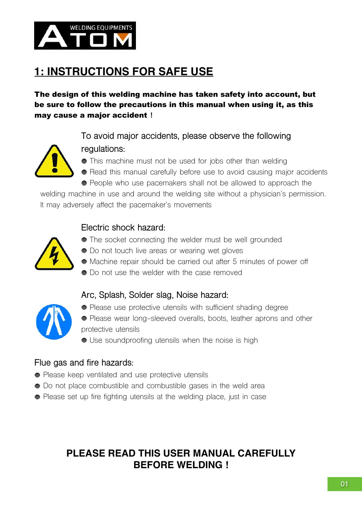

# **1: INSTRUCTIONS FOR SAFE USE**

The design of this welding machine has taken safety into account, but be sure to follow the precautions in this manual when using it, as this may cause a major accident **!**

> **To avoid major accidents, please observe the following regulations:**



- This machine must not be used for jobs other than welding
- Read this manual carefully before use to avoid causing major accidents • People who use pacemakers shall not be allowed to approach the

welding machine in use and around the welding site without a physician's permission. It may adversely affect the pacemaker's movements

#### **Electric shock hazard:**



- The socket connecting the welder must be well grounded
- $\bullet$  Do not touch live areas or wearing wet gloves
- Machine repair should be carried out after 5 minutes of power off
- $\bullet$  Do not use the welder with the case removed



- **Arc, Splash, Solder slag, Noise hazard:** • Please use protective utensils with sufficient shading degree
- Please wear long-sleeved overalls, boots, leather aprons and other protective utensils
- Use soundproofing utensils when the noise is high

#### **Flue gas and fire hazards:**

- Please keep ventilated and use protective utensils
- $\bullet$  Do not place combustible and combustible gases in the weld area
- Please set up fire fighting utensils at the welding place, just in case

### **PLEASE READ THIS USER MANUAL CAREFULLY BEFORE WELDING !**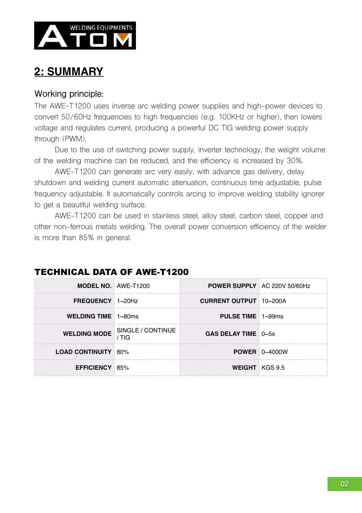

### **2: SUMMARY**

#### **Working principle:**

The AWE-T1200 uses inverse arc welding power supplies and high-power devices to convert 50/60Hz frequencies to high frequencies (e.g. 100KHz or higher), then lowers voltage and regulates current, producing a powerful DC TIG welding power supply through (PWM).

 Due to the use of switching power supply, inverter technology, the weight volume of the welding machine can be reduced, and the efficiency is increased by 30%.

 AWE-T1200 can generate arc very easily, with advance gas delivery, delay shutdown and welding current automatic attenuation, continuous time adjustable, pulse frequency adjustable. It automatically controls arcing to improve welding stability ignorer to get a beautiful welding surface.

 AWE-T1200 can be used in stainless steel, alloy steel, carbon steel, copper and other non-ferrous metals welding. The overall power conversion efficiency of the welder is more than 85% in general.

| <b>MODEL NO. AWE-T1200</b>         |                                | <b>POWER SUPPLY AC 220V 50/60Hz</b> |                           |
|------------------------------------|--------------------------------|-------------------------------------|---------------------------|
| FREQUENCY 1~20Hz                   | <b>CURRENT OUTPUT 10~200A</b>  |                                     |                           |
| <b>WELDING TIME</b> $1 \sim 80$ ms |                                | <b>PULSE TIME</b> $1\sim99\$ ms     |                           |
|                                    | WELDING MODE SINGLE / CONTINUE | GAS DELAY TIME $0\nu$ -5s           |                           |
| <b>LOAD CONTINUITY 80%</b>         |                                |                                     | <b>POWER</b> $0\sim4000W$ |
| <b>EFFICIENCY 85%</b>              |                                | <b>WEIGHT</b> KGS 9.5               |                           |

### TECHNICAL DATA OF AWE-T1200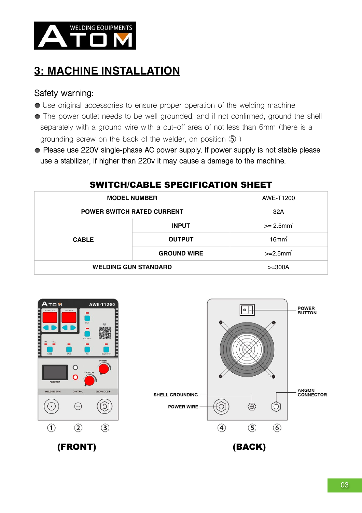

# **3: MACHINE INSTALLATION**

#### **Safety warning:**

- Use original accessories to ensure proper operation of the welding machine
- The power outlet needs to be well grounded, and if not confirmed, ground the shell separately with a ground wire with a cut-off area of not less than 6mm (there is a grounding screw on the back of the welder, on position ⑤ )
- **Please use 220V single-phase AC power supply. If power supply is not stable please use a stabilizer, if higher than 220v it may cause a damage to the machine.**

| <b>MODEL NUMBER</b>               |                    | AWE-T1200                |
|-----------------------------------|--------------------|--------------------------|
| <b>POWER SWITCH RATED CURRENT</b> |                    | 32A                      |
| <b>CABLE</b>                      | <b>INPUT</b>       | $>= 2.5$ mm <sup>2</sup> |
|                                   | <b>OUTPUT</b>      | $16$ mm $2$              |
|                                   | <b>GROUND WIRE</b> | $>=2.5$ mm <sup>2</sup>  |
| <b>WELDING GUN STANDARD</b>       |                    | $>=300A$                 |

#### SWITCH/CABLE SPECIFICATION SHEET



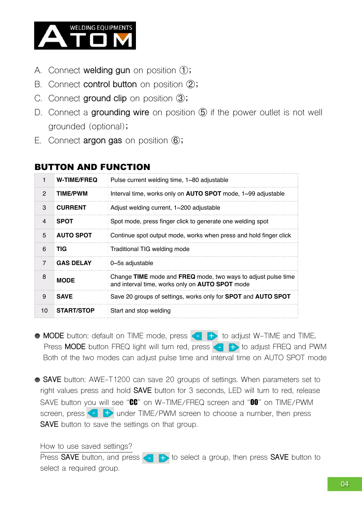

- A. Connect **welding gun** on position ①;
- B. Connect **control button** on position ②;
- C. Connect **ground clip** on position ③;
- D. Connect a grounding wire on position **6** if the power outlet is not well grounded (optional);
- E. Connect **argon gas** on position ⑥;

| <b>BUTTON AND FUNCTION</b> |  |
|----------------------------|--|
|----------------------------|--|

| $\mathbf{1}$  | <b>W-TIME/FREQ</b> | Pulse current welding time, $1 \sim 80$ adjustable                                                               |
|---------------|--------------------|------------------------------------------------------------------------------------------------------------------|
| $\mathcal{P}$ | <b>TIME/PWM</b>    | Interval time, works only on <b>AUTO SPOT</b> mode, 1~99 adjustable                                              |
| 3             | <b>CURRENT</b>     | Adjust welding current, 1~200 adjustable                                                                         |
| 4             | <b>SPOT</b>        | Spot mode, press finger click to generate one welding spot                                                       |
| 5             | <b>AUTO SPOT</b>   | Continue spot output mode, works when press and hold finger click                                                |
| 6             | TIG                | Traditional TIG welding mode                                                                                     |
| 7             | <b>GAS DELAY</b>   | $0$ ~5s adjustable                                                                                               |
| 8             | <b>MODE</b>        | Change TIME mode and FREQ mode, two ways to adjust pulse time<br>and interval time, works only on AUTO SPOT mode |
| 9             | <b>SAVE</b>        | Save 20 groups of settings, works only for <b>SPOT</b> and <b>AUTO SPOT</b>                                      |
| 10            | <b>START/STOP</b>  | Start and stop welding                                                                                           |

**MODE** button: default on TIME mode, press **that is adjust W-TIME** and TIME. **Press MODE** button FREQ light will turn red, press **the FD** to adjust FREQ and PWM Both of the two modes can adjust pulse time and interval time on AUTO SPOT mode

**SAVE** button: AWE-T1200 can save 20 groups of settings. When parameters set to right values press and hold **SAVE** button for 3 seconds, LED will turn to red, release SAVE button you will see "CC" on W-TIME/FREQ screen and "00" on TIME/PWM screen, press  $\bigoplus$  under TIME/PWM screen to choose a number, then press **SAVE** button to save the settings on that group.

How to use saved settings?

Press **SAVE** button, and press **to Bullet** to select a group, then press **SAVE** button to select a required group.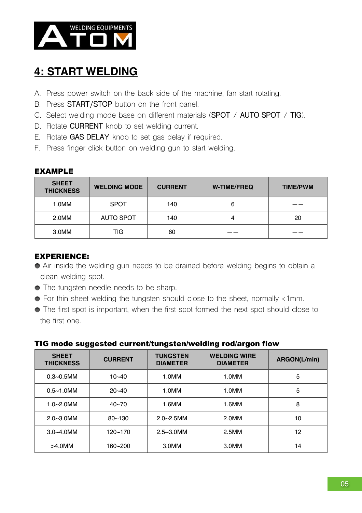

### **4: START WELDING**

- A. Press power switch on the back side of the machine, fan start rotating.
- B. Press **START/STOP** button on the front panel.
- C. Select welding mode base on different materials (**SPOT** / **AUTO SPOT** / **TIG**).
- D. Rotate **CURRENT** knob to set welding current.
- E. Rotate **GAS DELAY** knob to set gas delay if required.
- F. Press finger click button on welding gun to start welding.

#### EXAMPLE

| <b>SHEET</b><br><b>THICKNESS</b> | <b>WELDING MODE</b> | <b>CURRENT</b> | <b>W-TIME/FREQ</b> | <b>TIME/PWM</b> |
|----------------------------------|---------------------|----------------|--------------------|-----------------|
| 1.0MM                            | <b>SPOT</b>         | 140            | 6                  |                 |
| 2.0MM                            | <b>AUTO SPOT</b>    | 140            |                    | 20              |
| 3.0MM                            | TIG                 | 60             |                    |                 |

#### EXPERIENCE:

- Air inside the welding gun needs to be drained before welding begins to obtain a clean welding spot.
- $\bullet$  The tungsten needle needs to be sharp.
- For thin sheet welding the tungsten should close to the sheet, normally <1mm.
- The first spot is important, when the first spot formed the next spot should close to the first one.

| . .www.waggoo.com/windowngo.com/working/ww/wigon-new |                |                                    |                                        |                     |
|------------------------------------------------------|----------------|------------------------------------|----------------------------------------|---------------------|
| <b>SHEET</b><br><b>THICKNESS</b>                     | <b>CURRENT</b> | <b>TUNGSTEN</b><br><b>DIAMETER</b> | <b>WELDING WIRE</b><br><b>DIAMETER</b> | <b>ARGON(L/min)</b> |
| $0.3 - 0.5$ MM                                       | $10 - 40$      | 1.0MM                              | 1.0MM                                  | 5                   |
| $0.5 - 1.0$ MM                                       | $20 - 40$      | 1.0MM                              | 1.0MM                                  | 5                   |
| $1.0 - 2.0$ MM                                       | $40 - 70$      | 1.6MM                              | 1.6MM                                  | 8                   |
| $2.0 - 3.0$ MM                                       | $80 - 130$     | $2.0 - 2.5$ MM                     | 2.0MM                                  | 10                  |
| $3.0 - 4.0$ MM                                       | 120~170        | $2.5 - 3.0$ MM                     | 2.5M <sub>M</sub>                      | 12                  |
| $>4.0$ MM                                            | 160~200        | 3.0MM                              | 3.0MM                                  | 14                  |

#### TIG mode suggested current/tungsten/welding rod/argon flow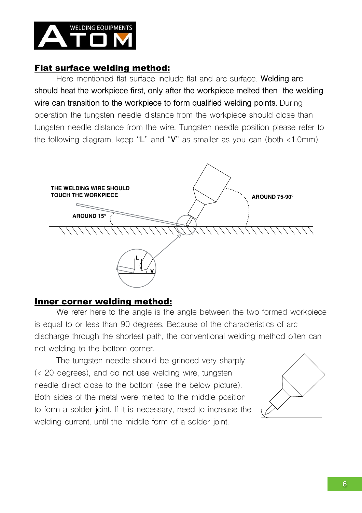

#### Flat surface welding method:

Here mentioned flat surface include flat and arc surface. **Welding arc should heat the workpiece first, only after the workpiece melted then the welding wire can transition to the workpiece to form qualified welding points.** During operation the tungsten needle distance from the workpiece should close than tungsten needle distance from the wire. Tungsten needle position please refer to the following diagram, keep "**L**" and "**V**" as smaller as you can (both <1.0mm).



#### Inner corner welding method:

We refer here to the angle is the angle between the two formed workpiece is equal to or less than 90 degrees. Because of the characteristics of arc discharge through the shortest path, the conventional welding method often can not welding to the bottom corner.

The tungsten needle should be grinded very sharply (< 20 degrees), and do not use welding wire, tungsten needle direct close to the bottom (see the below picture). Both sides of the metal were melted to the middle position to form a solder joint. If it is necessary, need to increase the welding current, until the middle form of a solder joint.

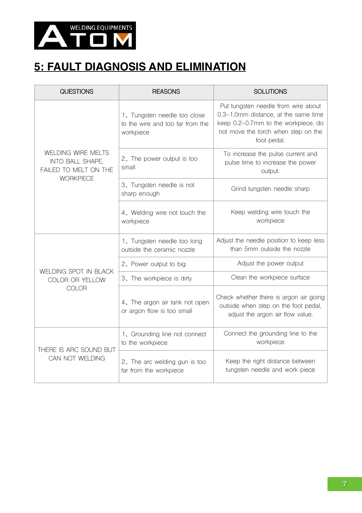

### **5: FAULT DIAGNOSIS AND ELIMINATION**

| <b>QUESTIONS</b>                                                                           | <b>REASONS</b>                                                                | <b>SOLUTIONS</b>                                                                                                                                                         |
|--------------------------------------------------------------------------------------------|-------------------------------------------------------------------------------|--------------------------------------------------------------------------------------------------------------------------------------------------------------------------|
|                                                                                            | 1, Tungsten needle too close<br>to the wire and too far from the<br>workpiece | Put tungsten needle from wire about<br>0.3-1.0mm distance, at the same time<br>keep 0.2-0.7mm to the workpiece. do<br>not move the torch when step on the<br>foot pedal. |
| <b>WELDING WIRE MELTS</b><br>INTO BALL SHAPE,<br>FAILED TO MELT ON THE<br><b>WORKPIECE</b> | 2, The power output is too<br>small                                           | To increase the pulse current and<br>pulse time to increase the power<br>output.                                                                                         |
|                                                                                            | 3、Tungsten needle is not<br>sharp enough                                      | Grind tungsten needle sharp                                                                                                                                              |
|                                                                                            | 4, Welding wire not touch the<br>workpiece                                    | Keep welding wire touch the<br>workpiece                                                                                                                                 |
|                                                                                            | 1, Tungsten needle too long<br>outside the ceramic nozzle                     | Adjust the needle position to keep less<br>than 5mm outside the nozzle                                                                                                   |
|                                                                                            | 2, Power output to big                                                        | Adjust the power output                                                                                                                                                  |
| WELDING SPOT IN BLACK<br>COLOR OR YELLOW<br><b>COLOR</b>                                   | 3. The workpiece is dirty                                                     | Clean the workpiece surface                                                                                                                                              |
|                                                                                            | 4, The argon air tank not open<br>or argon flow is too small                  | Check whether there is argon air going<br>outside when step on the foot pedal,<br>adjust the argon air flow value.                                                       |
| THERE IS ARC SOUND BUT<br>CAN NOT WELDING                                                  | 1、Grounding line not connect<br>to the workpiece                              | Connect the grounding line to the<br>workpiece                                                                                                                           |
|                                                                                            | 2, The arc welding gun is too<br>far from the workpiece                       | Keep the right distance between<br>tungsten needle and work piece                                                                                                        |